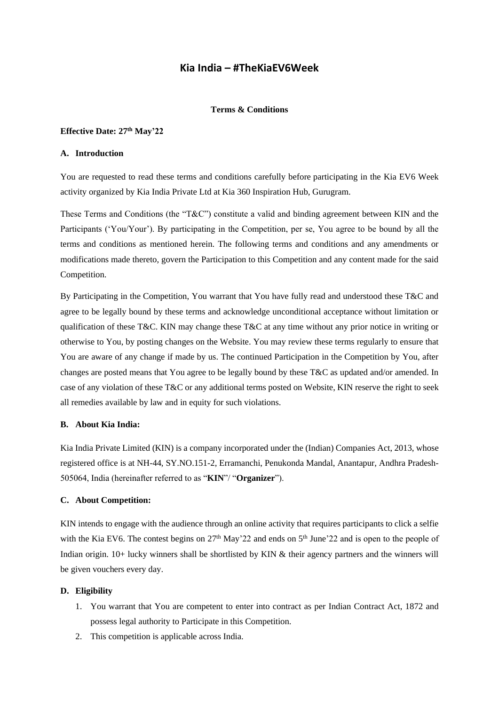# **Kia India – #TheKiaEV6Week**

# **Terms & Conditions**

### **Effective Date: 27 th May'22**

# **A. Introduction**

You are requested to read these terms and conditions carefully before participating in the Kia EV6 Week activity organized by Kia India Private Ltd at Kia 360 Inspiration Hub, Gurugram.

These Terms and Conditions (the "T&C") constitute a valid and binding agreement between KIN and the Participants ('You/Your'). By participating in the Competition, per se, You agree to be bound by all the terms and conditions as mentioned herein. The following terms and conditions and any amendments or modifications made thereto, govern the Participation to this Competition and any content made for the said Competition.

By Participating in the Competition, You warrant that You have fully read and understood these T&C and agree to be legally bound by these terms and acknowledge unconditional acceptance without limitation or qualification of these T&C. KIN may change these T&C at any time without any prior notice in writing or otherwise to You, by posting changes on the Website. You may review these terms regularly to ensure that You are aware of any change if made by us. The continued Participation in the Competition by You, after changes are posted means that You agree to be legally bound by these T&C as updated and/or amended. In case of any violation of these T&C or any additional terms posted on Website, KIN reserve the right to seek all remedies available by law and in equity for such violations.

### **B. About Kia India:**

Kia India Private Limited (KIN) is a company incorporated under the (Indian) Companies Act, 2013, whose registered office is at NH-44, SY.NO.151-2, Erramanchi, Penukonda Mandal, Anantapur, Andhra Pradesh-505064, India (hereinafter referred to as "**KIN**"/ "**Organizer**").

### **C. About Competition:**

KIN intends to engage with the audience through an online activity that requires participants to click a selfie with the Kia EV6. The contest begins on 27<sup>th</sup> May'22 and ends on 5<sup>th</sup> June'22 and is open to the people of Indian origin. 10+ lucky winners shall be shortlisted by KIN & their agency partners and the winners will be given vouchers every day.

# **D. Eligibility**

- 1. You warrant that You are competent to enter into contract as per Indian Contract Act, 1872 and possess legal authority to Participate in this Competition.
- 2. This competition is applicable across India.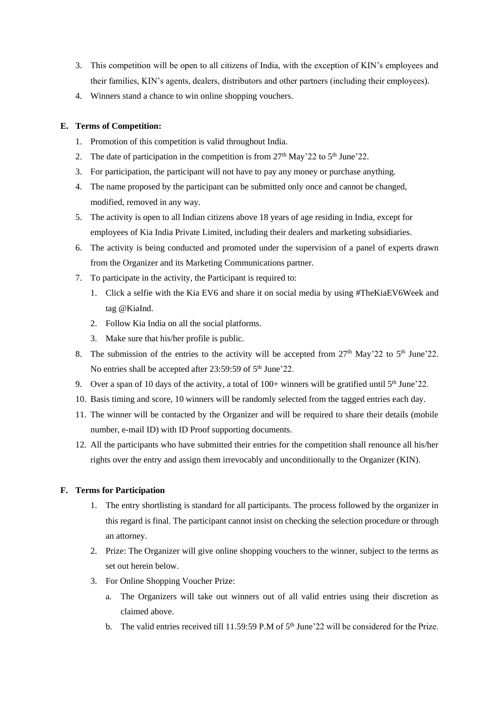- 3. This competition will be open to all citizens of India, with the exception of KIN's employees and their families, KIN's agents, dealers, distributors and other partners (including their employees).
- 4. Winners stand a chance to win online shopping vouchers.

# **E. Terms of Competition:**

- 1. Promotion of this competition is valid throughout India.
- 2. The date of participation in the competition is from  $27<sup>th</sup>$  May'22 to  $5<sup>th</sup>$  June'22.
- 3. For participation, the participant will not have to pay any money or purchase anything.
- 4. The name proposed by the participant can be submitted only once and cannot be changed, modified, removed in any way.
- 5. The activity is open to all Indian citizens above 18 years of age residing in India, except for employees of Kia India Private Limited, including their dealers and marketing subsidiaries.
- 6. The activity is being conducted and promoted under the supervision of a panel of experts drawn from the Organizer and its Marketing Communications partner.
- 7. To participate in the activity, the Participant is required to:
	- 1. Click a selfie with the Kia EV6 and share it on social media by using #TheKiaEV6Week and tag @KiaInd.
	- 2. Follow Kia India on all the social platforms.
	- 3. Make sure that his/her profile is public.
- 8. The submission of the entries to the activity will be accepted from  $27<sup>th</sup>$  May'22 to  $5<sup>th</sup>$  June'22. No entries shall be accepted after 23:59:59 of 5<sup>th</sup> June'22.
- 9. Over a span of 10 days of the activity, a total of  $100+$  winners will be gratified until  $5<sup>th</sup>$  June'22.
- 10. Basis timing and score, 10 winners will be randomly selected from the tagged entries each day.
- 11. The winner will be contacted by the Organizer and will be required to share their details (mobile number, e-mail ID) with ID Proof supporting documents.
- 12. All the participants who have submitted their entries for the competition shall renounce all his/her rights over the entry and assign them irrevocably and unconditionally to the Organizer (KIN).

# **F. Terms for Participation**

- 1. The entry shortlisting is standard for all participants. The process followed by the organizer in this regard is final. The participant cannot insist on checking the selection procedure or through an attorney.
- 2. Prize: The Organizer will give online shopping vouchers to the winner, subject to the terms as set out herein below.
- 3. For Online Shopping Voucher Prize:
	- a. The Organizers will take out winners out of all valid entries using their discretion as claimed above.
	- b. The valid entries received till 11.59:59 P.M of 5<sup>th</sup> June'22 will be considered for the Prize.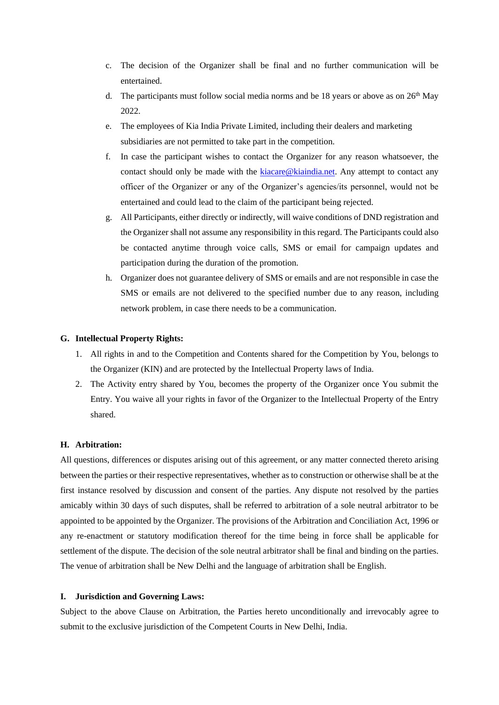- c. The decision of the Organizer shall be final and no further communication will be entertained.
- d. The participants must follow social media norms and be 18 years or above as on  $26<sup>th</sup>$  May 2022.
- e. The employees of Kia India Private Limited, including their dealers and marketing subsidiaries are not permitted to take part in the competition.
- f. In case the participant wishes to contact the Organizer for any reason whatsoever, the contact should only be made with the [kiacare@kiaindia.net.](mailto:kiacare@kiaindia.net) Any attempt to contact any officer of the Organizer or any of the Organizer's agencies/its personnel, would not be entertained and could lead to the claim of the participant being rejected.
- g. All Participants, either directly or indirectly, will waive conditions of DND registration and the Organizer shall not assume any responsibility in this regard. The Participants could also be contacted anytime through voice calls, SMS or email for campaign updates and participation during the duration of the promotion.
- h. Organizer does not guarantee delivery of SMS or emails and are not responsible in case the SMS or emails are not delivered to the specified number due to any reason, including network problem, in case there needs to be a communication.

### **G. Intellectual Property Rights:**

- 1. All rights in and to the Competition and Contents shared for the Competition by You, belongs to the Organizer (KIN) and are protected by the Intellectual Property laws of India.
- 2. The Activity entry shared by You, becomes the property of the Organizer once You submit the Entry. You waive all your rights in favor of the Organizer to the Intellectual Property of the Entry shared.

## **H. Arbitration:**

All questions, differences or disputes arising out of this agreement, or any matter connected thereto arising between the parties or their respective representatives, whether as to construction or otherwise shall be at the first instance resolved by discussion and consent of the parties. Any dispute not resolved by the parties amicably within 30 days of such disputes, shall be referred to arbitration of a sole neutral arbitrator to be appointed to be appointed by the Organizer. The provisions of the Arbitration and Conciliation Act, 1996 or any re-enactment or statutory modification thereof for the time being in force shall be applicable for settlement of the dispute. The decision of the sole neutral arbitrator shall be final and binding on the parties. The venue of arbitration shall be New Delhi and the language of arbitration shall be English.

### **I. Jurisdiction and Governing Laws:**

Subject to the above Clause on Arbitration, the Parties hereto unconditionally and irrevocably agree to submit to the exclusive jurisdiction of the Competent Courts in New Delhi, India.